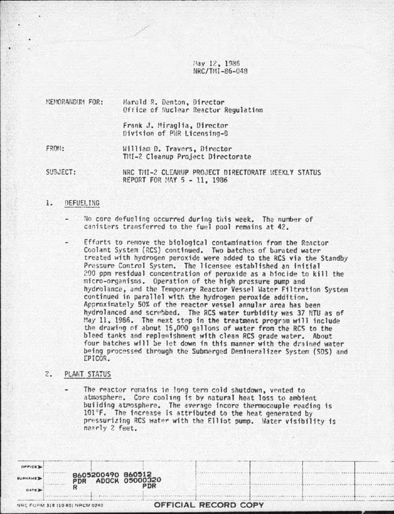Hay 12, 1986 NRC/TMI-86-048

MEMORANDINA FOR: Harold R. Denton, Director Office of Nuclear Reactor Regulation

> Frank J. Miraglia, Director Division of PNR Licensing-B

FROM:

William D. Travers, Director TMI-2 Cleanup Project Directorate

SUBJECT: NRC THI-2 CLEANUP PROJECT DIRECTORATE NEEKLY STATUS REPORT FOR MAY 5 - 11, 1986

## 1. DEFUEL ING

- No core defueling occurred during this week. The number of canisters transferred to the fuel pool remains at 42.
- Efforts to remove the biological contamination from the Reactor Coolant System (RCS) continued. Two batches of burated water treated with hydrogen peroxide were added to the RCS via the Standby Pressure Control System. The licensee established an initial 200 ppm residual concentration of peroxide as a biocide to kill the micro-organisms. Operation of the high pressure pump and hydrolance, and the Temporary Reactor Vessel Water Filtration System continued in parallel with the hydrogen peroxide addition. Approximately 50% of the reactor vessel annular area has been hydrolanced and scrubbed. The RCS water turbidity was 37 NTU as of May 11, 1986. The next step in the treatment program will include the drawing of about 15,000 gallons of water from the RCS to the bleed tanks and replenishment with clean RCS grade water. About four batches will be let down in this manner with the drained water being processed through the Submerged Demineralizer System (SDS) and EPICOR.

## $2.5$ PLANT STATUS

B605200490 860512<br>PDR ADOCK 05000320

PNR

The reactor remains in long term cold shutdown, vented to atmosphere. Core cooling is by natural heat loss to ambient building atmosphere. The average incore thermocouple reading is 101°F. The increase is attributed to the heat generated by pressurizing RCS water with the Elliot pump. Water visibility is nearly 2 feet.

OFFICIAL RECORD COPY

|  |  | NRC FORM 318 (10-80) NRCM 0240 |  |
|--|--|--------------------------------|--|
|  |  |                                |  |

R

**OFFICE** 

URNAME

DATE 3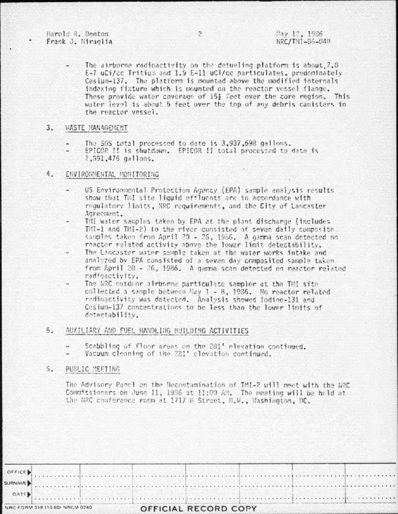Harold R. Denton Frank J. Miraglia

The airborne radioactivity on the defueling platform is about 7.0 E-7 uCi/cc Tritium and 1.9 E-11 uCi/cc particulates, predominately Cesium-137. The platform is mounted above the modified internals indexing fixture which is mounted on the reactor vessel flange. These provide water coverage of 15} feet over the core region. This water level is about 5 feet over the top of any debris canisters in the reactor vessel.

## $3.$ *VASTE HANAGEHENT*

- The SDS total processed to date is 3,937,598 gallons.
- EPICOR II is shutdown. EPICOR II total processed to date is 2,391,475 gallons.

## 4. ENVIRONMENTAL MONITORING

- US Environmental Protection Agency (EPA) sample analysis results show that THI site liquid effluents are in accordance with regulatory limits, NRC requirements, and the City of Lancaster. Agreement.
- TMI water samples taken by EPA at the plant discharge (includes THI-1 and THI-2) to the river consisted of seven daily composite samples taken from April 20 - 26, 1986. A gamma scan detected no reactor related activity above the lower limit detectability.
- The Lancaster water sample taken at the water works intake and analyzed by EPA consisted of a seven day composited sample taken from April 20 - 26, 1986. A gamma scan detected no reactor related radioactivity.
- The NRC outdoor airborne particulate sampler at the THI site collected a sample between May 1 - 8, 1986. No reactor related redioactivity was detected. Analysis showed Iodine-131 and Cesium-137 concentrations to be less than the lower limits of detectability.

#### 5. AUXILIARY AND FUEL HANDLING BUILDING ACTIVITIES

- Scabbling of floor areas on the 281' elevation continued.
- Vacuum cleaning of the 281' elevation continued.

#### $5.$ PUBLIC MEETING

The Advisory Panel on the Decontamination of TMI-2 will meet with the NRC Commissioners on June 11, 1986 at 11:00 AM. The meeting will be hold at the NRC conference room at 1717 H Street, N.W., Mashington, DC.

| DATE.   |  |  |  |  |  |  |
|---------|--|--|--|--|--|--|
| SURNAME |  |  |  |  |  |  |
| OFFICE  |  |  |  |  |  |  |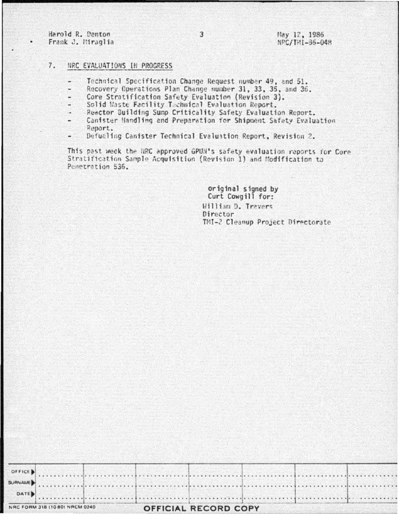Harold R. Denton Frank J. Miraglia

Hay 12, 1986 NPC/THI-36-048

## 7. NRC EVALUATIONS IN PROGRESS

- Technical Specification Change Request number 49, and 51.
- Recovery Operations Plan Change number 31, 33, 35, and 36.
- Core Stratification Safety Evaluation (Revision 3).
- Solid Maste Facility Technical Evaluation Report.
- Reactor Building Sump Criticality Safety Evaluation Report.
- Canister Handling and Preparation for Shipment Safety Evaluation Report.
- Defueling Canister Technical Evaluation Report, Revision 2.

This past week the NRC approved GPUN's safety evaluation reports for Core Stratification Sample Acquisition (Revision 1) and Modification to Penetration 536.

> original signed by Curt Cowgill for: William D. Travers Director TMI-2 Cleanup Project Directorate

|  |  | NRC FORM 318 (10-80) NRCM 0240 |  |
|--|--|--------------------------------|--|
|--|--|--------------------------------|--|

OFFICE SURNAME **DATE** 

# OFFICIAL RECORD COPY